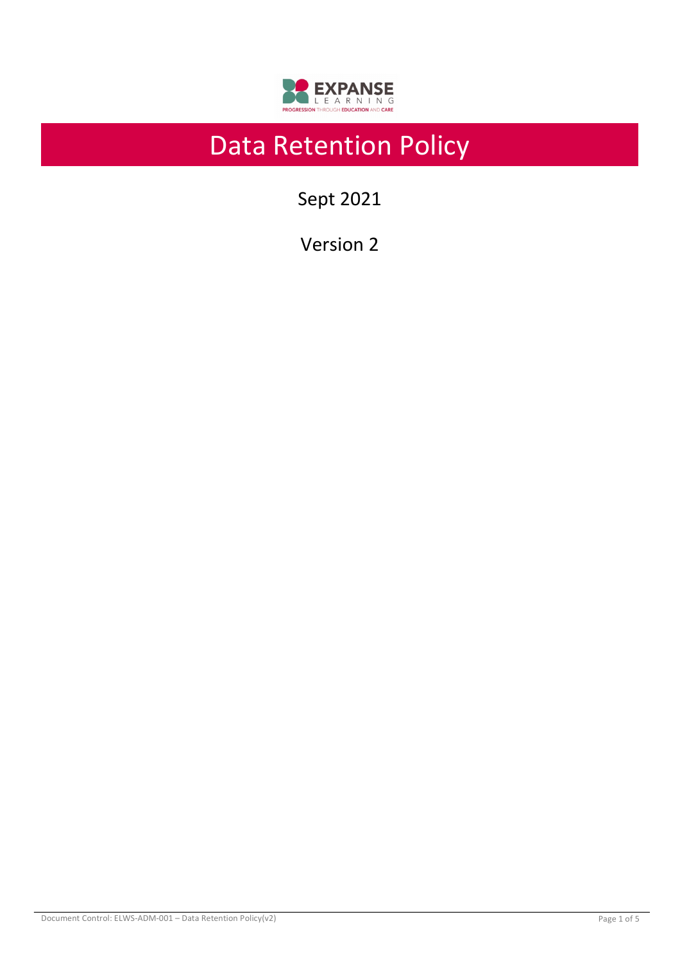

# Data Retention Policy

Sept 2021

Version 2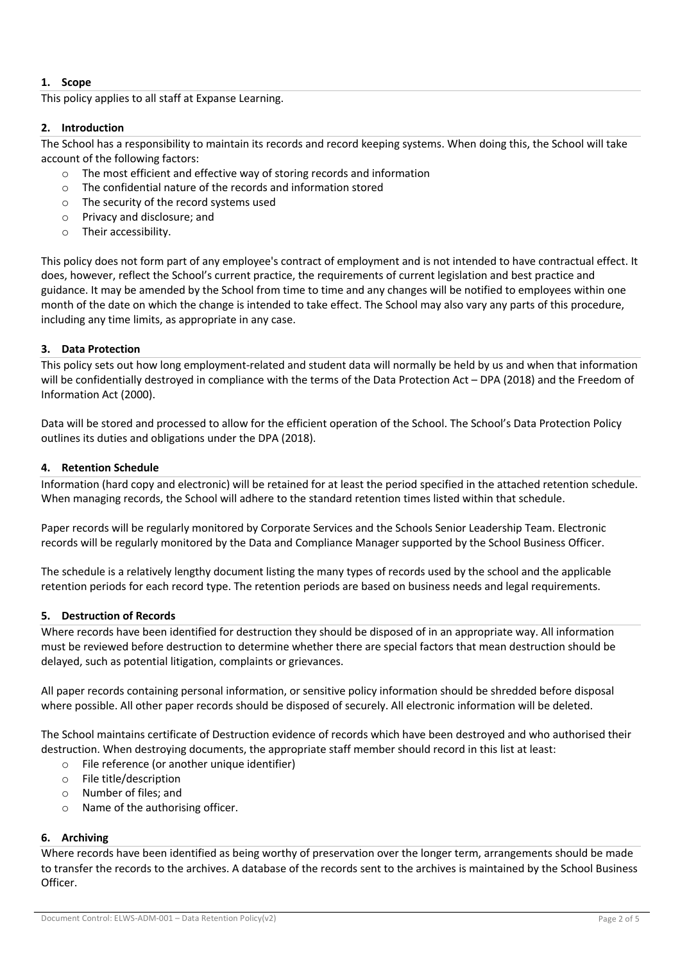# **1. Scope**

This policy applies to all staff at Expanse Learning.

# **2. Introduction**

The School has a responsibility to maintain its records and record keeping systems. When doing this, the School will take account of the following factors:

- o The most efficient and effective way of storing records and information
- o The confidential nature of the records and information stored
- o The security of the record systems used
- o Privacy and disclosure; and
- o Their accessibility.

This policy does not form part of any employee's contract of employment and is not intended to have contractual effect. It does, however, reflect the School's current practice, the requirements of current legislation and best practice and guidance. It may be amended by the School from time to time and any changes will be notified to employees within one month of the date on which the change is intended to take effect. The School may also vary any parts of this procedure, including any time limits, as appropriate in any case.

#### **3. Data Protection**

This policy sets out how long employment-related and student data will normally be held by us and when that information will be confidentially destroyed in compliance with the terms of the Data Protection Act – DPA (2018) and the Freedom of Information Act (2000).

Data will be stored and processed to allow for the efficient operation of the School. The School's Data Protection Policy outlines its duties and obligations under the DPA (2018).

#### **4. Retention Schedule**

Information (hard copy and electronic) will be retained for at least the period specified in the attached retention schedule. When managing records, the School will adhere to the standard retention times listed within that schedule.

Paper records will be regularly monitored by Corporate Services and the Schools Senior Leadership Team. Electronic records will be regularly monitored by the Data and Compliance Manager supported by the School Business Officer.

The schedule is a relatively lengthy document listing the many types of records used by the school and the applicable retention periods for each record type. The retention periods are based on business needs and legal requirements.

#### **5. Destruction of Records**

Where records have been identified for destruction they should be disposed of in an appropriate way. All information must be reviewed before destruction to determine whether there are special factors that mean destruction should be delayed, such as potential litigation, complaints or grievances.

All paper records containing personal information, or sensitive policy information should be shredded before disposal where possible. All other paper records should be disposed of securely. All electronic information will be deleted.

The School maintains certificate of Destruction evidence of records which have been destroyed and who authorised their destruction. When destroying documents, the appropriate staff member should record in this list at least:

- o File reference (or another unique identifier)
- o File title/description
- o Number of files; and
- o Name of the authorising officer.

#### **6. Archiving**

Where records have been identified as being worthy of preservation over the longer term, arrangements should be made to transfer the records to the archives. A database of the records sent to the archives is maintained by the School Business Officer.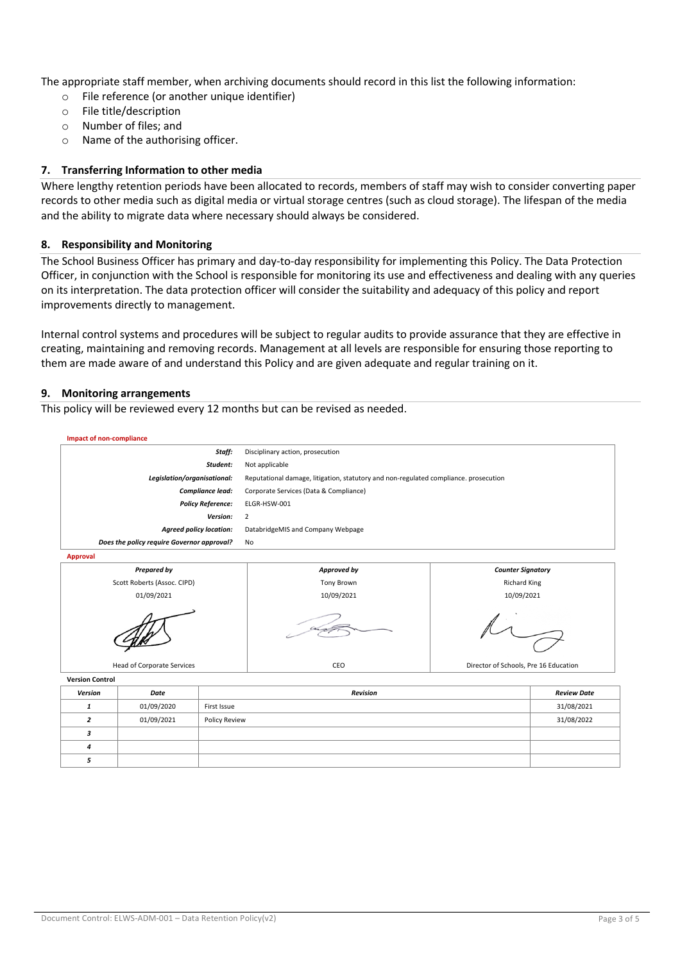The appropriate staff member, when archiving documents should record in this list the following information:

- o File reference (or another unique identifier)
- o File title/description
- o Number of files; and
- o Name of the authorising officer.

### **7. Transferring Information to other media**

Where lengthy retention periods have been allocated to records, members of staff may wish to consider converting paper records to other media such as digital media or virtual storage centres (such as cloud storage). The lifespan of the media and the ability to migrate data where necessary should always be considered.

#### **8. Responsibility and Monitoring**

The School Business Officer has primary and day-to-day responsibility for implementing this Policy. The Data Protection Officer, in conjunction with the School is responsible for monitoring its use and effectiveness and dealing with any queries on its interpretation. The data protection officer will consider the suitability and adequacy of this policy and report improvements directly to management.

Internal control systems and procedures will be subject to regular audits to provide assurance that they are effective in creating, maintaining and removing records. Management at all levels are responsible for ensuring those reporting to them are made aware of and understand this Policy and are given adequate and regular training on it.

#### **9. Monitoring arrangements**

This policy will be reviewed every 12 months but can be revised as needed.

**Impact of non-compliance** *Staff:* Disciplinary action, prosecution *Student:* Not applicable *Legislation/organisational:* Reputational damage, litigation, statutory and non-regulated compliance. prosecution *Compliance lead:* Corporate Services (Data & Compliance) *Policy Reference:* ELGR-HSW-001 *Version:* 2 *Agreed policy location:* DatabridgeMIS and Company Webpage *Does the policy require Governor approval?* No



**Version Control**

| Version | Date       | <b>Revision</b> | <b>Review Date</b> |
|---------|------------|-----------------|--------------------|
|         | 01/09/2020 | First Issue     | 31/08/2021         |
|         | 01/09/2021 | Policy Review   | 31/08/2022         |
|         |            |                 |                    |
|         |            |                 |                    |
|         |            |                 |                    |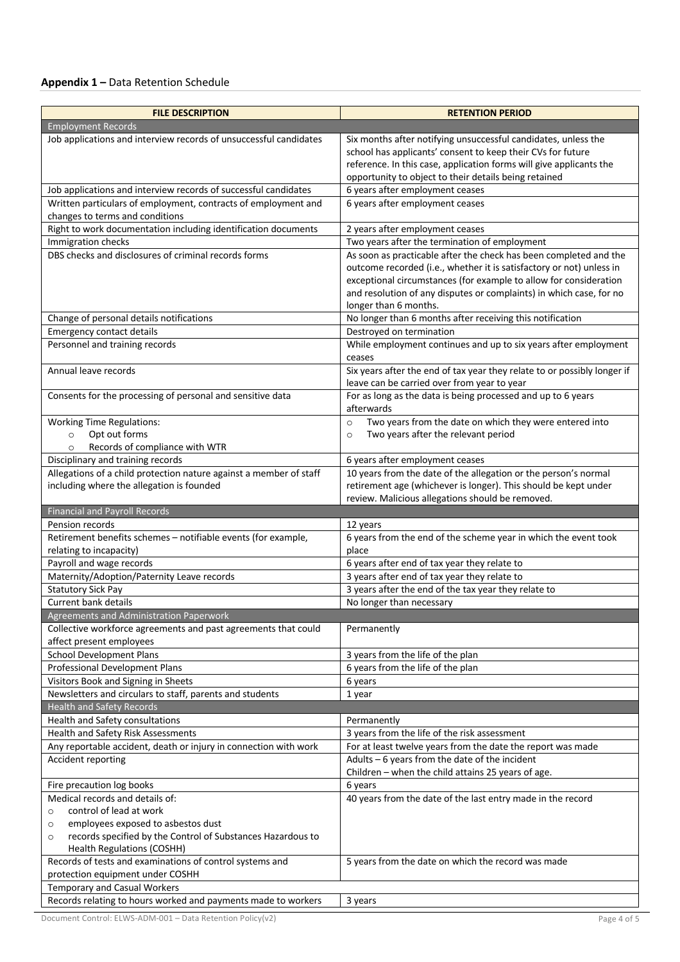# **Appendix 1 –** Data Retention Schedule

| <b>FILE DESCRIPTION</b>                                                                                                           | <b>RETENTION PERIOD</b>                                                                                                                   |  |  |  |  |
|-----------------------------------------------------------------------------------------------------------------------------------|-------------------------------------------------------------------------------------------------------------------------------------------|--|--|--|--|
| <b>Employment Records</b>                                                                                                         |                                                                                                                                           |  |  |  |  |
| Job applications and interview records of unsuccessful candidates                                                                 | Six months after notifying unsuccessful candidates, unless the                                                                            |  |  |  |  |
|                                                                                                                                   | school has applicants' consent to keep their CVs for future                                                                               |  |  |  |  |
|                                                                                                                                   | reference. In this case, application forms will give applicants the                                                                       |  |  |  |  |
|                                                                                                                                   | opportunity to object to their details being retained                                                                                     |  |  |  |  |
| Job applications and interview records of successful candidates<br>Written particulars of employment, contracts of employment and | 6 years after employment ceases<br>6 years after employment ceases                                                                        |  |  |  |  |
| changes to terms and conditions                                                                                                   |                                                                                                                                           |  |  |  |  |
| Right to work documentation including identification documents                                                                    | 2 years after employment ceases                                                                                                           |  |  |  |  |
| Immigration checks                                                                                                                | Two years after the termination of employment                                                                                             |  |  |  |  |
| DBS checks and disclosures of criminal records forms                                                                              | As soon as practicable after the check has been completed and the<br>outcome recorded (i.e., whether it is satisfactory or not) unless in |  |  |  |  |
|                                                                                                                                   | exceptional circumstances (for example to allow for consideration                                                                         |  |  |  |  |
|                                                                                                                                   | and resolution of any disputes or complaints) in which case, for no                                                                       |  |  |  |  |
|                                                                                                                                   | longer than 6 months.                                                                                                                     |  |  |  |  |
| Change of personal details notifications                                                                                          | No longer than 6 months after receiving this notification                                                                                 |  |  |  |  |
| Emergency contact details                                                                                                         | Destroyed on termination                                                                                                                  |  |  |  |  |
| Personnel and training records                                                                                                    | While employment continues and up to six years after employment<br>ceases                                                                 |  |  |  |  |
| Annual leave records                                                                                                              | Six years after the end of tax year they relate to or possibly longer if                                                                  |  |  |  |  |
|                                                                                                                                   | leave can be carried over from year to year                                                                                               |  |  |  |  |
| Consents for the processing of personal and sensitive data                                                                        | For as long as the data is being processed and up to 6 years<br>afterwards                                                                |  |  |  |  |
| <b>Working Time Regulations:</b>                                                                                                  | Two years from the date on which they were entered into<br>$\circ$                                                                        |  |  |  |  |
| Opt out forms<br>$\circ$                                                                                                          | Two years after the relevant period<br>$\circ$                                                                                            |  |  |  |  |
| Records of compliance with WTR<br>$\circ$                                                                                         |                                                                                                                                           |  |  |  |  |
| Disciplinary and training records                                                                                                 | 6 years after employment ceases                                                                                                           |  |  |  |  |
| Allegations of a child protection nature against a member of staff<br>including where the allegation is founded                   | 10 years from the date of the allegation or the person's normal<br>retirement age (whichever is longer). This should be kept under        |  |  |  |  |
|                                                                                                                                   | review. Malicious allegations should be removed.                                                                                          |  |  |  |  |
| <b>Financial and Payroll Records</b>                                                                                              |                                                                                                                                           |  |  |  |  |
| Pension records                                                                                                                   | 12 years                                                                                                                                  |  |  |  |  |
| Retirement benefits schemes - notifiable events (for example,                                                                     | 6 years from the end of the scheme year in which the event took                                                                           |  |  |  |  |
| relating to incapacity)                                                                                                           | place                                                                                                                                     |  |  |  |  |
| Payroll and wage records                                                                                                          | 6 years after end of tax year they relate to                                                                                              |  |  |  |  |
| Maternity/Adoption/Paternity Leave records<br><b>Statutory Sick Pay</b>                                                           | 3 years after end of tax year they relate to<br>3 years after the end of the tax year they relate to                                      |  |  |  |  |
| <b>Current bank details</b>                                                                                                       | No longer than necessary                                                                                                                  |  |  |  |  |
| Agreements and Administration Paperwork                                                                                           |                                                                                                                                           |  |  |  |  |
|                                                                                                                                   |                                                                                                                                           |  |  |  |  |
|                                                                                                                                   | Permanently                                                                                                                               |  |  |  |  |
| Collective workforce agreements and past agreements that could<br>affect present employees                                        |                                                                                                                                           |  |  |  |  |
| <b>School Development Plans</b>                                                                                                   | 3 years from the life of the plan                                                                                                         |  |  |  |  |
| Professional Development Plans                                                                                                    | 6 years from the life of the plan                                                                                                         |  |  |  |  |
| Visitors Book and Signing in Sheets                                                                                               | 6 years                                                                                                                                   |  |  |  |  |
| Newsletters and circulars to staff, parents and students                                                                          | 1 year                                                                                                                                    |  |  |  |  |
| <b>Health and Safety Records</b>                                                                                                  |                                                                                                                                           |  |  |  |  |
| Health and Safety consultations                                                                                                   | Permanently                                                                                                                               |  |  |  |  |
| Health and Safety Risk Assessments                                                                                                | 3 years from the life of the risk assessment                                                                                              |  |  |  |  |
| Any reportable accident, death or injury in connection with work                                                                  | For at least twelve years from the date the report was made                                                                               |  |  |  |  |
| Accident reporting                                                                                                                | Adults - 6 years from the date of the incident<br>Children - when the child attains 25 years of age.                                      |  |  |  |  |
| Fire precaution log books                                                                                                         | 6 years                                                                                                                                   |  |  |  |  |
| Medical records and details of:                                                                                                   | 40 years from the date of the last entry made in the record                                                                               |  |  |  |  |
| control of lead at work<br>$\circ$                                                                                                |                                                                                                                                           |  |  |  |  |
| employees exposed to asbestos dust<br>$\circ$                                                                                     |                                                                                                                                           |  |  |  |  |
| records specified by the Control of Substances Hazardous to<br>$\circ$                                                            |                                                                                                                                           |  |  |  |  |
| Health Regulations (COSHH)                                                                                                        |                                                                                                                                           |  |  |  |  |
| Records of tests and examinations of control systems and<br>protection equipment under COSHH                                      | 5 years from the date on which the record was made                                                                                        |  |  |  |  |
| Temporary and Casual Workers                                                                                                      |                                                                                                                                           |  |  |  |  |